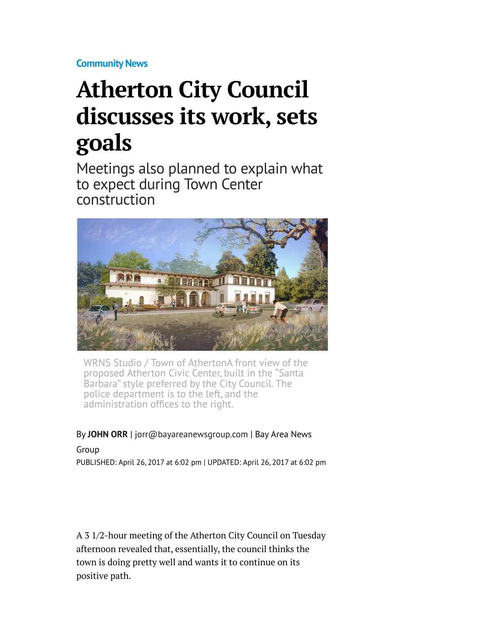**[Community News](http://www.mercurynews.com/community-news/)**

## **Atherton City Council discusses its work, sets goals**

Meetings also planned to explain what to expect during Town Center construction



WRNS Studio / Town of AthertonA front view of the proposed Atherton Civic Center, built in the "Santa Barbara" style preferred by the City Council. The police department is to the left, and the administration offices to the right.

## By **[JOHN ORR](http://www.mercurynews.com/author/john-orr/)** | [jorr@bayareanewsgroup.com](mailto:jorr@bayareanewsgroup.com) | Bay Area News

Group PUBLISHED: April 26, 2017 at 6:02 pm | UPDATED: April 26, 2017 at 6:02 pm

A 3 1/2-hour meeting of the Atherton City Council on Tuesday afternoon revealed that, essentially, the council thinks the town is doing pretty well and wants it to continue on its positive path.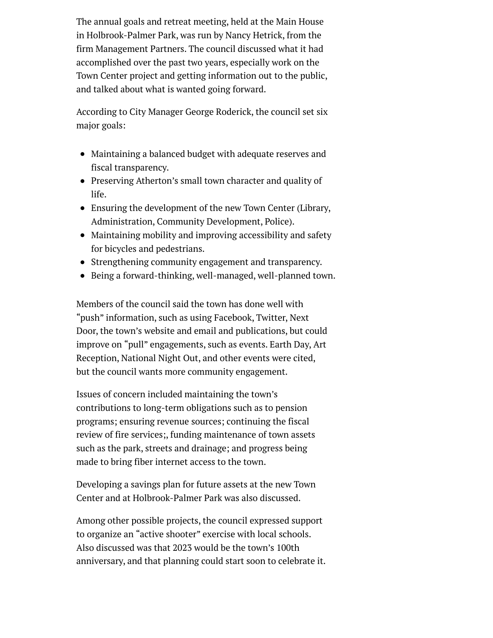The annual goals and retreat meeting, held at the Main House in Holbrook-Palmer Park, was run by Nancy Hetrick, from the firm Management Partners. The council discussed what it had accomplished over the past two years, especially work on the Town Center project and getting information out to the public, and talked about what is wanted going forward.

According to City Manager George Roderick, the council set six major goals:

- Maintaining a balanced budget with adequate reserves and fiscal transparency.
- Preserving Atherton's small town character and quality of life.
- Ensuring the development of the new Town Center (Library, Administration, Community Development, Police).
- Maintaining mobility and improving accessibility and safety for bicycles and pedestrians.
- Strengthening community engagement and transparency.
- Being a forward-thinking, well-managed, well-planned town.

Members of the council said the town has done well with "push" information, such as using Facebook, Twitter, Next Door, the town's website and email and publications, but could improve on "pull" engagements, such as events. Earth Day, Art Reception, National Night Out, and other events were cited, but the council wants more community engagement.

Issues of concern included maintaining the town's contributions to long-term obligations such as to pension programs; ensuring revenue sources; continuing the fiscal review of fire services;, funding maintenance of town assets such as the park, streets and drainage; and progress being made to bring fiber internet access to the town.

Developing a savings plan for future assets at the new Town Center and at Holbrook-Palmer Park was also discussed.

Among other possible projects, the council expressed support to organize an "active shooter" exercise with local schools. Also discussed was that 2023 would be the town's 100th anniversary, and that planning could start soon to celebrate it.